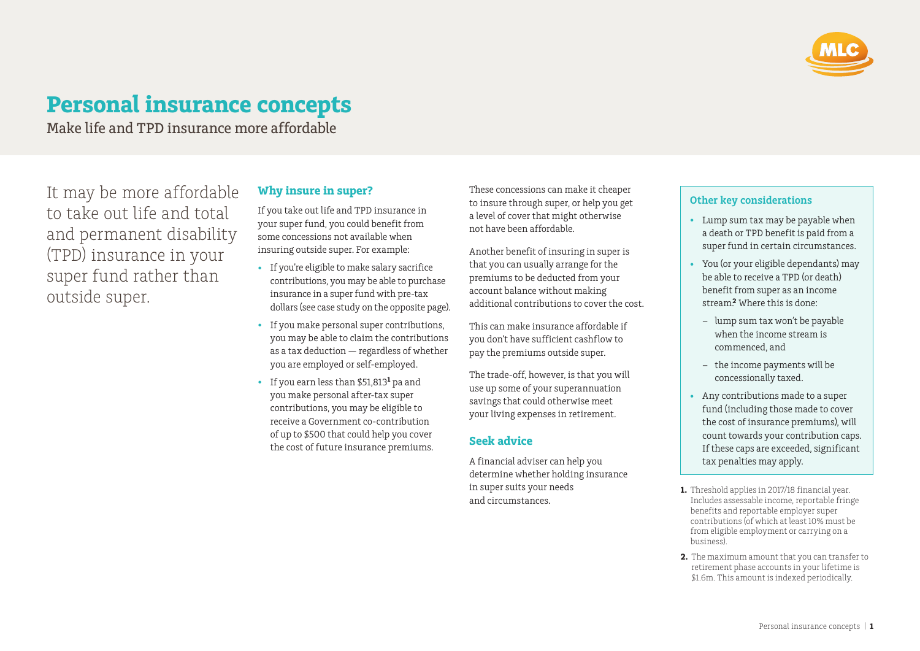

# **Personal insurance concepts**

Make life and TPD insurance more affordable

It may be more affordable to take out life and total and permanent disability (TPD) insurance in your super fund rather than outside super.

#### **Why insure in super?**

If you take out life and TPD insurance in your super fund, you could benefit from some concessions not available when insuring outside super. For example:

- If you're eligible to make salary sacrifice contributions, you may be able to purchase insurance in a super fund with pre-tax dollars (see case study on the opposite page).
- If you make personal super contributions, you may be able to claim the contributions as a tax deduction — regardless of whether you are employed or self-employed.
- If you earn less than \$51,813**<sup>1</sup>** pa and you make personal after-tax super contributions, you may be eligible to receive a Government co-contribution of up to \$500 that could help you cover the cost of future insurance premiums.

These concessions can make it cheaper to insure through super, or help you get a level of cover that might otherwise not have been affordable.

Another benefit of insuring in super is that you can usually arrange for the premiums to be deducted from your account balance without making additional contributions to cover the cost.

This can make insurance affordable if you don't have sufficient cashflow to pay the premiums outside super.

The trade-off, however, is that you will use up some of your superannuation savings that could otherwise meet your living expenses in retirement.

## **Seek advice**

A financial adviser can help you determine whether holding insurance in super suits your needs and circumstances.

### **Other key considerations**

- Lump sum tax may be payable when a death or TPD benefit is paid from a super fund in certain circumstances.
- You (or your eligible dependants) may be able to receive a TPD (or death) benefit from super as an income stream.**2** Where this is done:
	- lump sum tax won't be payable when the income stream is commenced, and
	- the income payments will be concessionally taxed.
- Any contributions made to a super fund (including those made to cover the cost of insurance premiums), will count towards your contribution caps. If these caps are exceeded, significant tax penalties may apply.
- **1.** Threshold applies in 2017/18 financial year. Includes assessable income, reportable fringe benefits and reportable employer super contributions (of which at least 10% must be from eligible employment or carrying on a business).
- **2.** The maximum amount that you can transfer to retirement phase accounts in your lifetime is \$1.6m. This amount is indexed periodically.